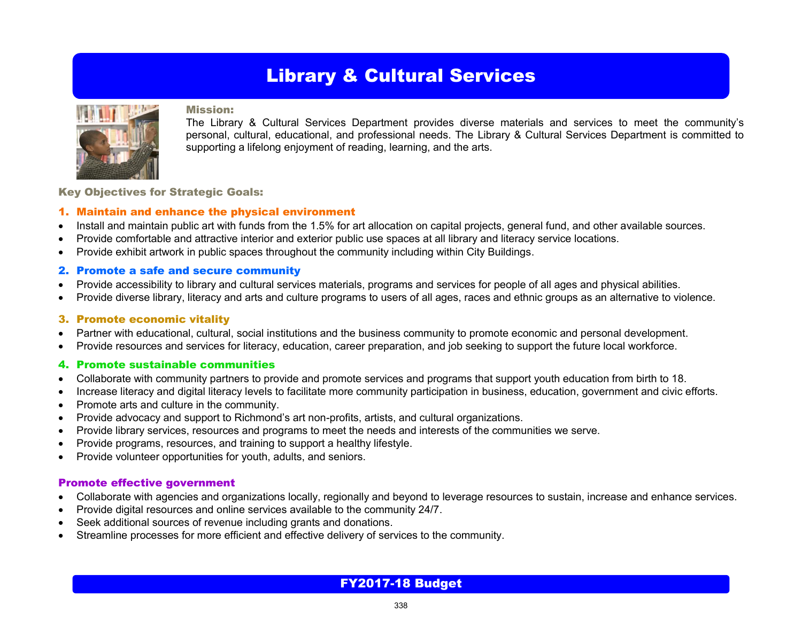## Library & Cultural Services



#### Mission:

The Library & Cultural Services Department provides diverse materials and services to meet the community's personal, cultural, educational, and professional needs. The Library & Cultural Services Department is committed to supporting a lifelong enjoyment of reading, learning, and the arts.

Key Objectives for Strategic Goals:

#### 1. Maintain and enhance the physical environment

- Install and maintain public art with funds from the 1.5% for art allocation on capital projects, general fund, and other available sources.
- Provide comfortable and attractive interior and exterior public use spaces at all library and literacy service locations.
- Provide exhibit artwork in public spaces throughout the community including within City Buildings.

#### 2. Promote a safe and secure community

- Provide accessibility to library and cultural services materials, programs and services for people of all ages and physical abilities.
- Provide diverse library, literacy and arts and culture programs to users of all ages, races and ethnic groups as an alternative to violence.

#### 3. Promote economic vitality

- Partner with educational, cultural, social institutions and the business community to promote economic and personal development.
- Provide resources and services for literacy, education, career preparation, and job seeking to support the future local workforce.

#### 4. Promote sustainable communities

- Collaborate with community partners to provide and promote services and programs that support youth education from birth to 18.
- Increase literacy and digital literacy levels to facilitate more community participation in business, education, government and civic efforts.
- Promote arts and culture in the community.
- Provide advocacy and support to Richmond's art non-profits, artists, and cultural organizations.
- Provide library services, resources and programs to meet the needs and interests of the communities we serve.
- Provide programs, resources, and training to support a healthy lifestyle.
- Provide volunteer opportunities for youth, adults, and seniors.

#### Promote effective government

- Collaborate with agencies and organizations locally, regionally and beyond to leverage resources to sustain, increase and enhance services.
- Provide digital resources and online services available to the community 24/7.
- Seek additional sources of revenue including grants and donations.
- Streamline processes for more efficient and effective delivery of services to the community.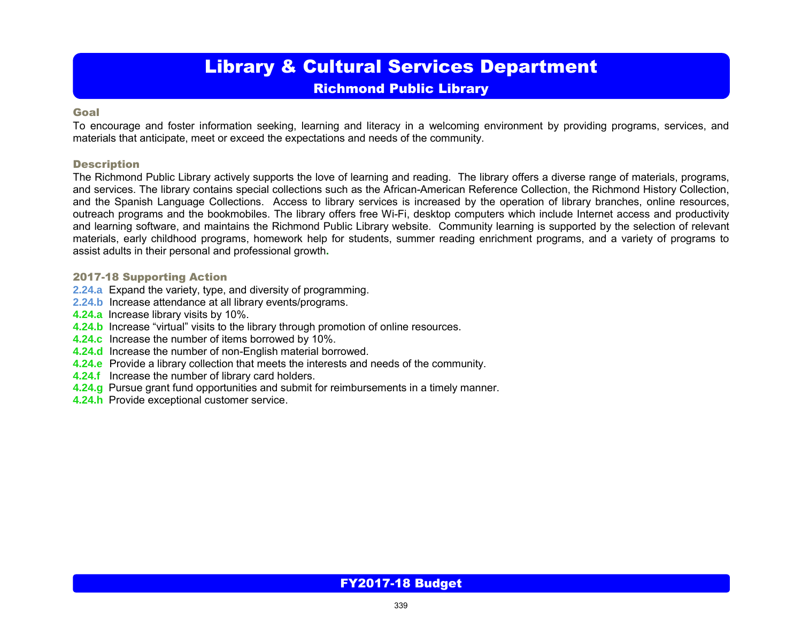# Library & Cultural Services Department

### Richmond Public Library

#### Goal

To encourage and foster information seeking, learning and literacy in a welcoming environment by providing programs, services, and materials that anticipate, meet or exceed the expectations and needs of the community.

#### **Description**

The Richmond Public Library actively supports the love of learning and reading. The library offers a diverse range of materials, programs, and services. The library contains special collections such as the African-American Reference Collection, the Richmond History Collection, and the Spanish Language Collections. Access to library services is increased by the operation of library branches, online resources, outreach programs and the bookmobiles. The library offers free Wi-Fi, desktop computers which include Internet access and productivity and learning software, and maintains the Richmond Public Library website. Community learning is supported by the selection of relevant materials, early childhood programs, homework help for students, summer reading enrichment programs, and a variety of programs to assist adults in their personal and professional growth**.** 

#### 2017-18 Supporting Action

- **2.24.a** Expand the variety, type, and diversity of programming.
- **2.24.b** Increase attendance at all library events/programs.
- **4.24.a** Increase library visits by 10%.
- **4.24.b** Increase "virtual" visits to the library through promotion of online resources.
- **4.24.c** Increase the number of items borrowed by 10%.
- **4.24.d** Increase the number of non-English material borrowed.
- **4.24.e** Provide a library collection that meets the interests and needs of the community.
- **4.24.f** Increase the number of library card holders.
- **4.24.g** Pursue grant fund opportunities and submit for reimbursements in a timely manner.
- **4.24.h** Provide exceptional customer service.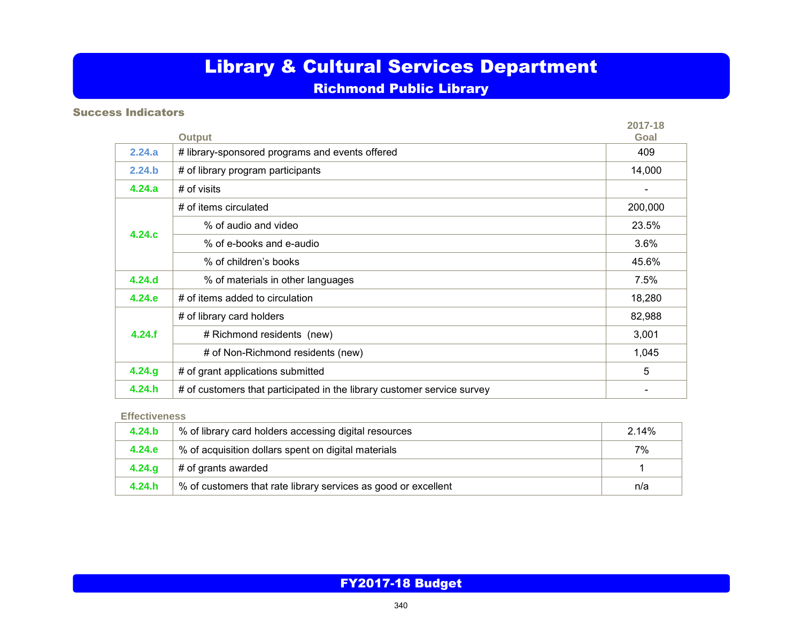# Library & Cultural Services Department

### Richmond Public Library

### Success Indicators

|         |                                                                         | 2017-18                      |
|---------|-------------------------------------------------------------------------|------------------------------|
|         | <b>Output</b>                                                           | Goal                         |
| 2.24.a  | # library-sponsored programs and events offered                         | 409                          |
| 2.24.b  | # of library program participants                                       | 14,000                       |
| 4.24.a  | # of visits                                                             | $\qquad \qquad \blacksquare$ |
|         | # of items circulated                                                   | 200,000                      |
| 4.24.c  | % of audio and video                                                    | 23.5%                        |
|         | % of e-books and e-audio                                                | 3.6%                         |
|         | % of children's books                                                   | 45.6%                        |
| 4.24.d  | % of materials in other languages                                       | 7.5%                         |
| 4.24.e  | # of items added to circulation                                         | 18,280                       |
|         | # of library card holders                                               | 82,988                       |
| 4.24.f  | # Richmond residents (new)                                              | 3,001                        |
|         | # of Non-Richmond residents (new)                                       | 1,045                        |
| 4.24.g. | # of grant applications submitted                                       | 5                            |
| 4.24.h  | # of customers that participated in the library customer service survey |                              |

#### **Effectiveness**

| 4.24.b | % of library card holders accessing digital resources          | 2.14% |
|--------|----------------------------------------------------------------|-------|
| 4.24.e | % of acquisition dollars spent on digital materials            | 7%    |
| 4.24.9 | # of grants awarded                                            |       |
| 4.24.h | % of customers that rate library services as good or excellent | n/a   |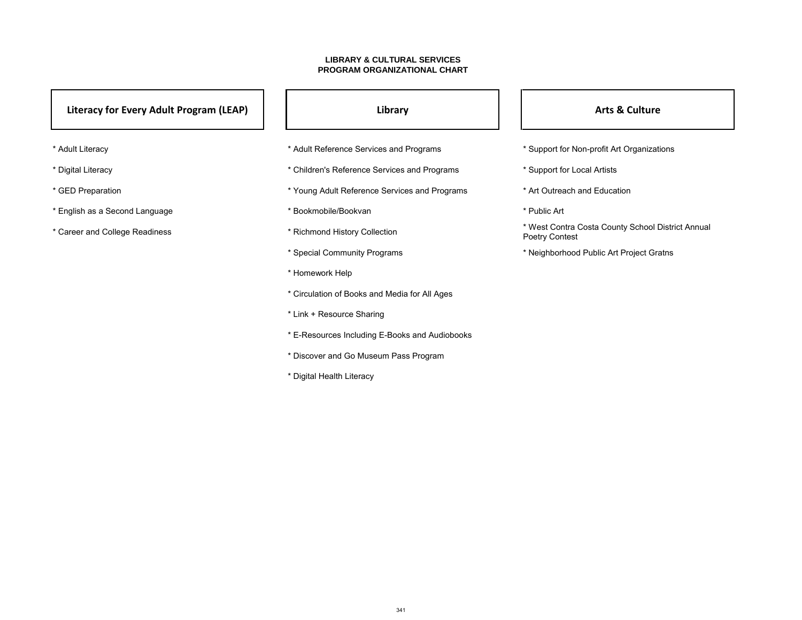- 
- 
- 
- 
- \* Career and College Readiness \* \* \* Richmond History Collection \* \* West Contra Costa County School District Annual Poetry Contest
	-
- \* Adult Literacy \* Adult Reference Services and Programs \* Support for Non-profit Art Organizations
- \* Digital Literacy **\*** Children's Reference Services and Programs \* Support for Local Artists
- \* GED Preparation **\*** Young Adult Reference Services and Programs \* Art Outreach and Education
	-
	-
	- \* Special Community Programs \* Neighborhood Public Art Project Gratns
	- \* Homework Help
	- \* Circulation of Books and Media for All Ages
	- \* Link + Resource Sharing
	- \* E-Resources Including E-Books and Audiobooks
	- \* Discover and Go Museum Pass Program
	- \* Digital Health Literacy

### **LIBRARY & CULTURAL SERVICES PROGRAM ORGANIZATIONAL CHART**

### **Literacy for Every Adult Program (LEAP)**  $\begin{vmatrix} 1 & 1 \\ 1 & 1 \end{vmatrix}$  **Library Library Riversion Control Arts & Culture**

- 
- 
- 
- \* English as a Second Language  $\overline{a}$  \* Bookmobile/Bookvan \* Public Art \* Public Art
-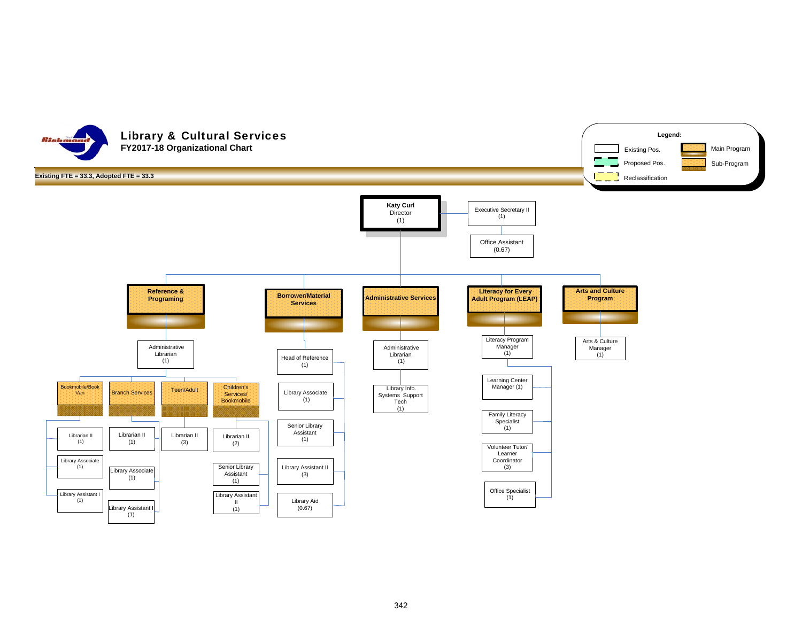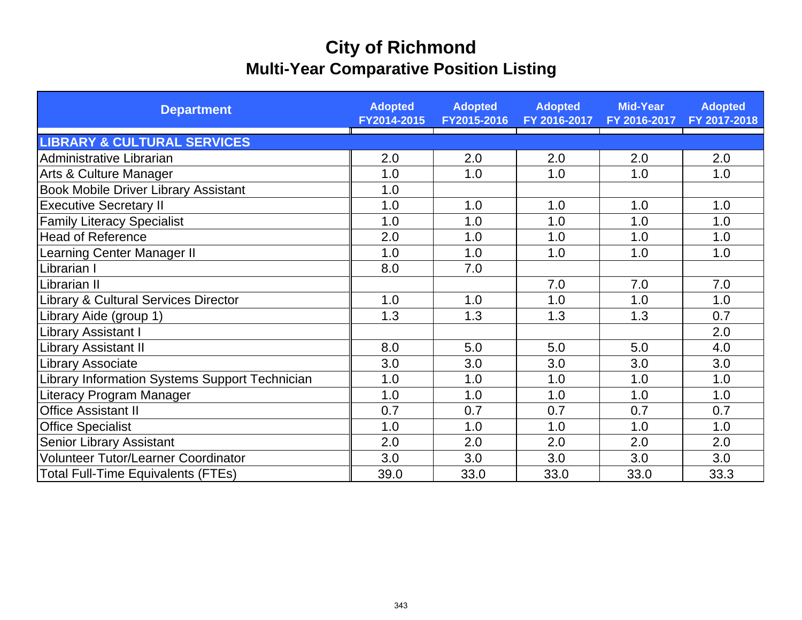# **City of Richmond Multi-Year Comparative Position Listing**

| <b>Department</b>                              | <b>Adopted</b><br>FY2014-2015 | <b>Adopted</b><br>FY2015-2016 | <b>Adopted</b><br>FY 2016-2017 | <b>Mid-Year</b><br>FY 2016-2017 | <b>Adopted</b><br>FY 2017-2018 |
|------------------------------------------------|-------------------------------|-------------------------------|--------------------------------|---------------------------------|--------------------------------|
| <b>LIBRARY &amp; CULTURAL SERVICES</b>         |                               |                               |                                |                                 |                                |
| Administrative Librarian                       | 2.0                           | 2.0                           | 2.0                            | 2.0                             | 2.0                            |
| Arts & Culture Manager                         | 1.0                           | 1.0                           | 1.0                            | 1.0                             | 1.0                            |
| <b>Book Mobile Driver Library Assistant</b>    | 1.0                           |                               |                                |                                 |                                |
| <b>Executive Secretary II</b>                  | 1.0                           | 1.0                           | 1.0                            | 1.0                             | 1.0                            |
| <b>Family Literacy Specialist</b>              | 1.0                           | 1.0                           | 1.0                            | 1.0                             | 1.0                            |
| <b>Head of Reference</b>                       | 2.0                           | 1.0                           | 1.0                            | 1.0                             | 1.0                            |
| <b>Learning Center Manager II</b>              | 1.0                           | 1.0                           | 1.0                            | 1.0                             | 1.0                            |
| Librarian I                                    | 8.0                           | 7.0                           |                                |                                 |                                |
| Librarian II                                   |                               |                               | 7.0                            | 7.0                             | 7.0                            |
| Library & Cultural Services Director           | 1.0                           | 1.0                           | 1.0                            | 1.0                             | 1.0                            |
| Library Aide (group 1)                         | 1.3                           | 1.3                           | 1.3                            | 1.3                             | 0.7                            |
| Library Assistant I                            |                               |                               |                                |                                 | 2.0                            |
| Library Assistant II                           | 8.0                           | 5.0                           | 5.0                            | 5.0                             | 4.0                            |
| Library Associate                              | 3.0                           | 3.0                           | 3.0                            | 3.0                             | 3.0                            |
| Library Information Systems Support Technician | 1.0                           | 1.0                           | 1.0                            | 1.0                             | 1.0                            |
| Literacy Program Manager                       | 1.0                           | 1.0                           | 1.0                            | 1.0                             | 1.0                            |
| <b>Office Assistant II</b>                     | 0.7                           | 0.7                           | 0.7                            | 0.7                             | 0.7                            |
| <b>Office Specialist</b>                       | 1.0                           | 1.0                           | 1.0                            | 1.0                             | 1.0                            |
| Senior Library Assistant                       | 2.0                           | 2.0                           | 2.0                            | 2.0                             | 2.0                            |
| <b>Volunteer Tutor/Learner Coordinator</b>     | 3.0                           | 3.0                           | 3.0                            | 3.0                             | 3.0                            |
| <b>Total Full-Time Equivalents (FTEs)</b>      | 39.0                          | 33.0                          | 33.0                           | 33.0                            | 33.3                           |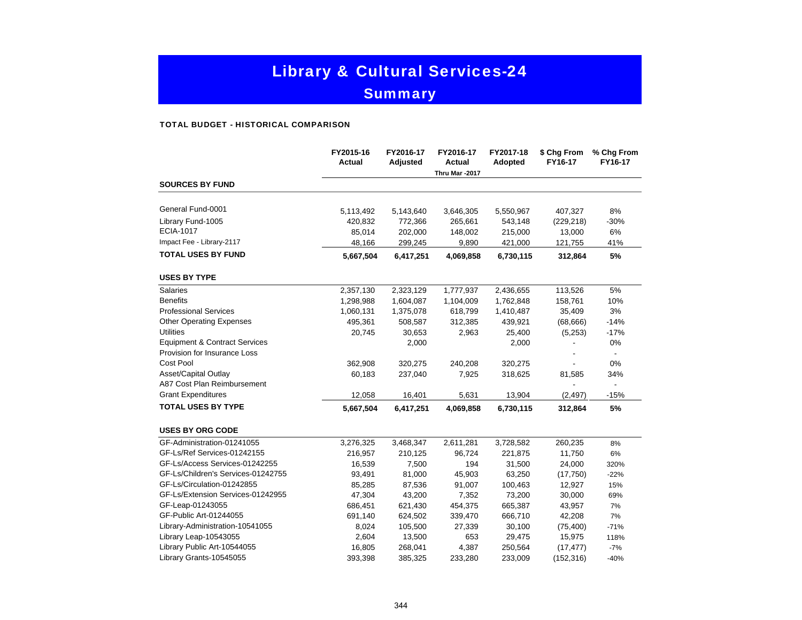# Library & Cultural Services-24

### **Summary**

#### TOTAL BUDGET - HISTORICAL COMPARISON

|                                          | FY2015-16<br><b>Actual</b> | FY2016-17<br>Adjusted | FY2016-17<br><b>Actual</b> | FY2017-18<br>Adopted | \$ Chg From<br>FY16-17 | % Chg From<br>FY16-17 |
|------------------------------------------|----------------------------|-----------------------|----------------------------|----------------------|------------------------|-----------------------|
|                                          |                            |                       | Thru Mar -2017             |                      |                        |                       |
| <b>SOURCES BY FUND</b>                   |                            |                       |                            |                      |                        |                       |
| General Fund-0001                        | 5,113,492                  | 5,143,640             | 3,646,305                  | 5,550,967            | 407,327                | 8%                    |
| Library Fund-1005                        | 420,832                    | 772,366               | 265,661                    | 543,148              | (229, 218)             | $-30%$                |
| ECIA-1017                                | 85,014                     | 202,000               | 148,002                    | 215,000              | 13,000                 | 6%                    |
| Impact Fee - Library-2117                | 48,166                     | 299,245               | 9,890                      | 421,000              | 121,755                | 41%                   |
| <b>TOTAL USES BY FUND</b>                | 5,667,504                  | 6,417,251             | 4,069,858                  | 6,730,115            | 312,864                | 5%                    |
| <b>USES BY TYPE</b>                      |                            |                       |                            |                      |                        |                       |
| Salaries                                 | 2,357,130                  | 2,323,129             | 1,777,937                  | 2,436,655            | 113,526                | $5\%$                 |
| <b>Benefits</b>                          | 1,298,988                  | 1,604,087             | 1,104,009                  | 1,762,848            | 158,761                | 10%                   |
| <b>Professional Services</b>             | 1,060,131                  | 1,375,078             | 618,799                    | 1,410,487            | 35,409                 | 3%                    |
| <b>Other Operating Expenses</b>          | 495,361                    | 508,587               | 312,385                    | 439,921              | (68, 666)              | $-14%$                |
| <b>Utilities</b>                         | 20,745                     | 30,653                | 2,963                      | 25,400               | (5,253)                | $-17%$                |
| <b>Equipment &amp; Contract Services</b> |                            | 2,000                 |                            | 2,000                |                        | 0%                    |
| Provision for Insurance Loss             |                            |                       |                            |                      |                        |                       |
| Cost Pool                                | 362,908                    | 320,275               | 240,208                    | 320,275              |                        | 0%                    |
| Asset/Capital Outlay                     | 60,183                     | 237,040               | 7,925                      | 318,625              | 81,585                 | 34%                   |
| A87 Cost Plan Reimbursement              |                            |                       |                            |                      |                        | $\blacksquare$        |
| <b>Grant Expenditures</b>                | 12,058                     | 16,401                | 5,631                      | 13,904               | (2, 497)               | $-15%$                |
| <b>TOTAL USES BY TYPE</b>                | 5,667,504                  | 6,417,251             | 4,069,858                  | 6,730,115            | 312,864                | 5%                    |
| <b>USES BY ORG CODE</b>                  |                            |                       |                            |                      |                        |                       |
| GF-Administration-01241055               | 3,276,325                  | 3,468,347             | 2,611,281                  | 3,728,582            | 260,235                | 8%                    |
| GF-Ls/Ref Services-01242155              | 216,957                    | 210,125               | 96,724                     | 221,875              | 11,750                 | 6%                    |
| GF-Ls/Access Services-01242255           | 16,539                     | 7,500                 | 194                        | 31,500               | 24,000                 | 320%                  |
| GF-Ls/Children's Services-01242755       | 93,491                     | 81,000                | 45,903                     | 63,250               | (17,750)               | $-22%$                |
| GF-Ls/Circulation-01242855               | 85,285                     | 87,536                | 91,007                     | 100,463              | 12,927                 | 15%                   |
| GF-Ls/Extension Services-01242955        | 47,304                     | 43,200                | 7,352                      | 73,200               | 30,000                 | 69%                   |
| GF-Leap-01243055                         | 686,451                    | 621,430               | 454,375                    | 665,387              | 43,957                 | 7%                    |
| GF-Public Art-01244055                   | 691,140                    | 624,502               | 339,470                    | 666,710              | 42,208                 | 7%                    |
| Library-Administration-10541055          | 8,024                      | 105,500               | 27,339                     | 30,100               | (75, 400)              | $-71%$                |
| Library Leap-10543055                    | 2,604                      | 13,500                | 653                        | 29,475               | 15,975                 | 118%                  |
| Library Public Art-10544055              | 16,805                     | 268,041               | 4,387                      | 250,564              | (17, 477)              | $-7%$                 |
| Library Grants-10545055                  | 393,398                    | 385,325               | 233,280                    | 233,009              | (152, 316)             | $-40%$                |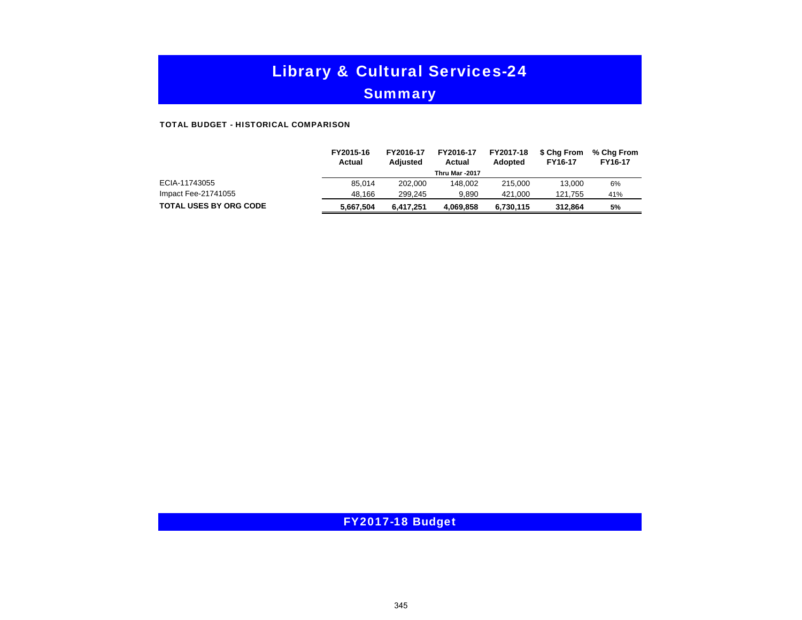# Library & Cultural Services-24

### **Summary**

#### TOTAL BUDGET - HISTORICAL COMPARISON

|                               | FY2015-16<br>Actual | FY2016-17<br><b>Adjusted</b> | FY2016-17<br>Actual | FY2017-18<br><b>Adopted</b> | \$ Cha From<br>FY16-17 | % Chg From<br>FY16-17 |
|-------------------------------|---------------------|------------------------------|---------------------|-----------------------------|------------------------|-----------------------|
|                               |                     |                              | Thru Mar -2017      |                             |                        |                       |
| ECIA-11743055                 | 85.014              | 202.000                      | 148.002             | 215,000                     | 13.000                 | 6%                    |
| Impact Fee-21741055           | 48.166              | 299.245                      | 9.890               | 421.000                     | 121.755                | 41%                   |
| <b>TOTAL USES BY ORG CODE</b> | 5.667.504           | 6.417.251                    | 4.069.858           | 6,730,115                   | 312.864                | 5%                    |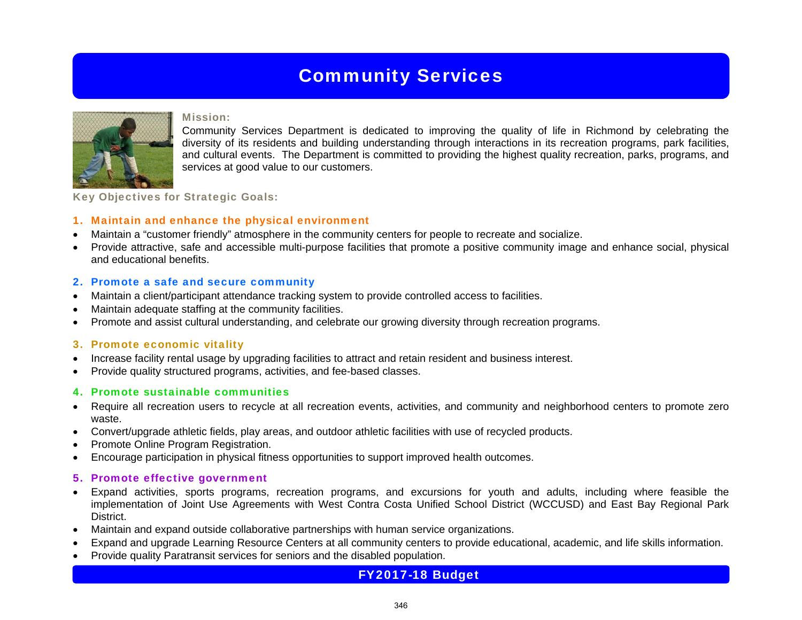## Community Services



#### Mission:

Community Services Department is dedicated to improving the quality of life in Richmond by celebrating the diversity of its residents and building understanding through interactions in its recreation programs, park facilities, and cultural events. The Department is committed to providing the highest quality recreation, parks, programs, and services at good value to our customers.

Key Objectives for Strategic Goals:

### 1. Maintain and enhance the physical environment

- Maintain a "customer friendly" atmosphere in the community centers for people to recreate and socialize.
- Provide attractive, safe and accessible multi-purpose facilities that promote a positive community image and enhance social, physical and educational benefits.

#### 2. Promote a safe and secure community

- Maintain a client/participant attendance tracking system to provide controlled access to facilities.
- Maintain adequate staffing at the community facilities.
- Promote and assist cultural understanding, and celebrate our growing diversity through recreation programs.

#### 3. Promote economic vitality

- Increase facility rental usage by upgrading facilities to attract and retain resident and business interest.
- Provide quality structured programs, activities, and fee-based classes.

#### 4. Promote sustainable communities

- Require all recreation users to recycle at all recreation events, activities, and community and neighborhood centers to promote zero waste.
- Convert/upgrade athletic fields, play areas, and outdoor athletic facilities with use of recycled products.
- Promote Online Program Registration.
- Encourage participation in physical fitness opportunities to support improved health outcomes.

#### 5. Promote effective government

- Expand activities, sports programs, recreation programs, and excursions for youth and adults, including where feasible the implementation of Joint Use Agreements with West Contra Costa Unified School District (WCCUSD) and East Bay Regional Park **District.**
- Maintain and expand outside collaborative partnerships with human service organizations.
- Expand and upgrade Learning Resource Centers at all community centers to provide educational, academic, and life skills information.
- Provide quality Paratransit services for seniors and the disabled population.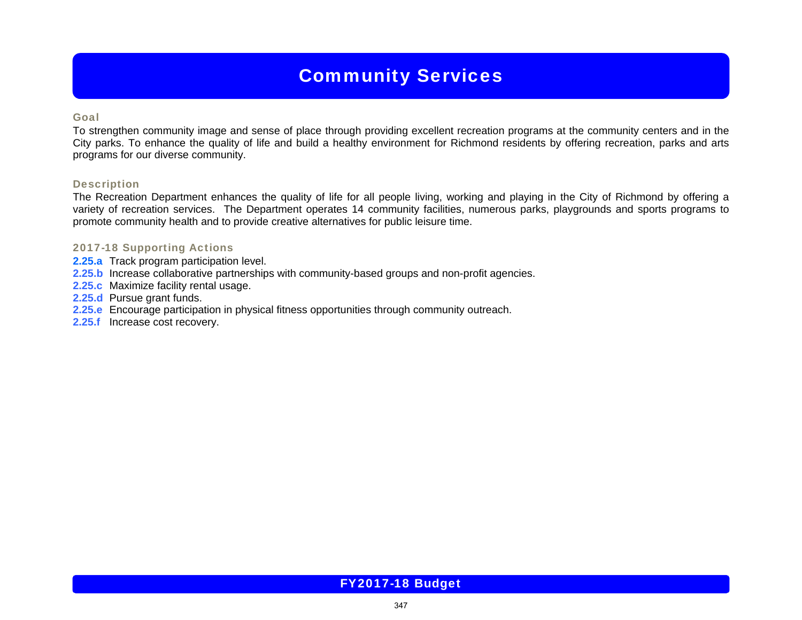### Community Services

#### Goal

To strengthen community image and sense of place through providing excellent recreation programs at the community centers and in the City parks. To enhance the quality of life and build a healthy environment for Richmond residents by offering recreation, parks and arts programs for our diverse community.

#### Description

The Recreation Department enhances the quality of life for all people living, working and playing in the City of Richmond by offering a variety of recreation services. The Department operates 14 community facilities, numerous parks, playgrounds and sports programs to promote community health and to provide creative alternatives for public leisure time.

#### 2017-18 Supporting Actions

- **2.25.a** Track program participation level.
- **2.25.b** Increase collaborative partnerships with community-based groups and non-profit agencies.
- **2.25.c** Maximize facility rental usage.
- **2.25.d** Pursue grant funds.
- **2.25.e** Encourage participation in physical fitness opportunities through community outreach.
- **2.25.f** Increase cost recovery.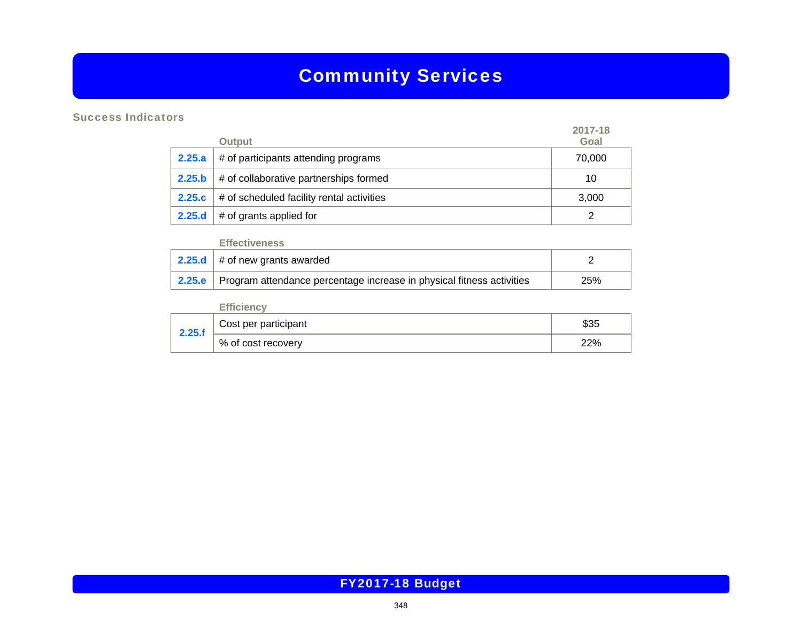# Community Services

### Success Indicators

|        | <b>Output</b>                             | 2017-18<br>Goal |
|--------|-------------------------------------------|-----------------|
| 2.25.a | # of participants attending programs      | 70,000          |
| 2.25.b | # of collaborative partnerships formed    | 10              |
| 2.25.c | # of scheduled facility rental activities | 3,000           |
| 2.25.d | # of grants applied for                   |                 |

#### **Effectiveness**

| 2.25.d $\#$ of new grants awarded                                              |     |
|--------------------------------------------------------------------------------|-----|
| 2.25.e   Program attendance percentage increase in physical fitness activities | 25% |

|        | <b>Efficiency</b>    |      |
|--------|----------------------|------|
| 2.25.f | Cost per participant | \$35 |
|        | , % of cost recovery | 22%  |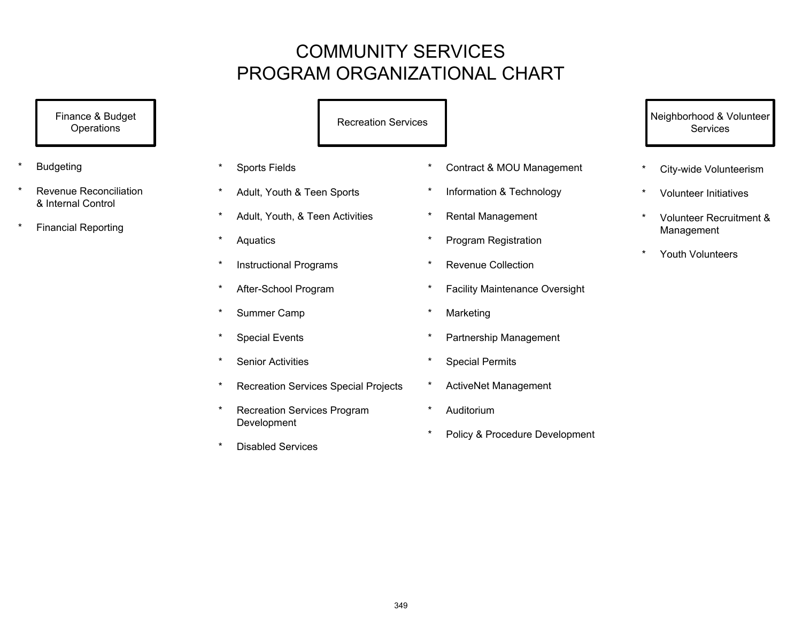# COMMUNITY SERVICES PROGRAM ORGANIZATIONAL CHART

Finance & Budget **Operations** 

- **Budgeting**
- Revenue Reconciliation & Internal Control
- **Financial Reporting**

Recreation Services

- \* Sports Fields
- \* Adult, Youth & Teen Sports
- \* Adult, Youth, & Teen Activities
- \* Aquatics
- \* Instructional Programs
- \* After-School Program
- \* Summer Camp
- \* Special Events
- \* Senior Activities
- \* Recreation Services Special Projects
- \* Recreation Services Program Development
- \* Disabled Services
- \* Contract & MOU Management
- \* Information & Technology
- \* Rental Management
- \* Program Registration
- Revenue Collection
- \* Facility Maintenance Oversight
- **Marketing**
- Partnership Management
- Special Permits
- ActiveNet Management
- Auditorium
- Policy & Procedure Development

 Neighborhood & Volunteer **Services** 

- City-wide Volunteerism
- **Volunteer Initiatives**
- \* Volunteer Recruitment & Management
- Youth Volunteers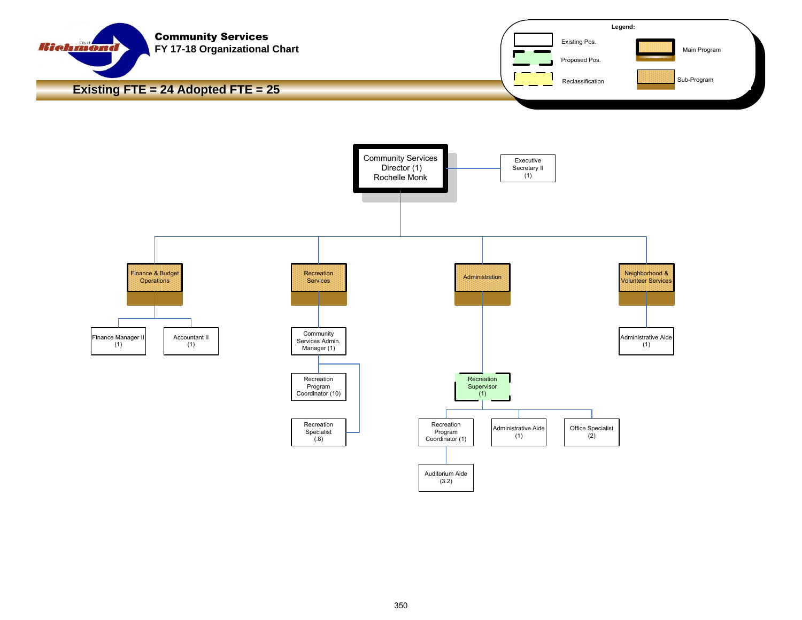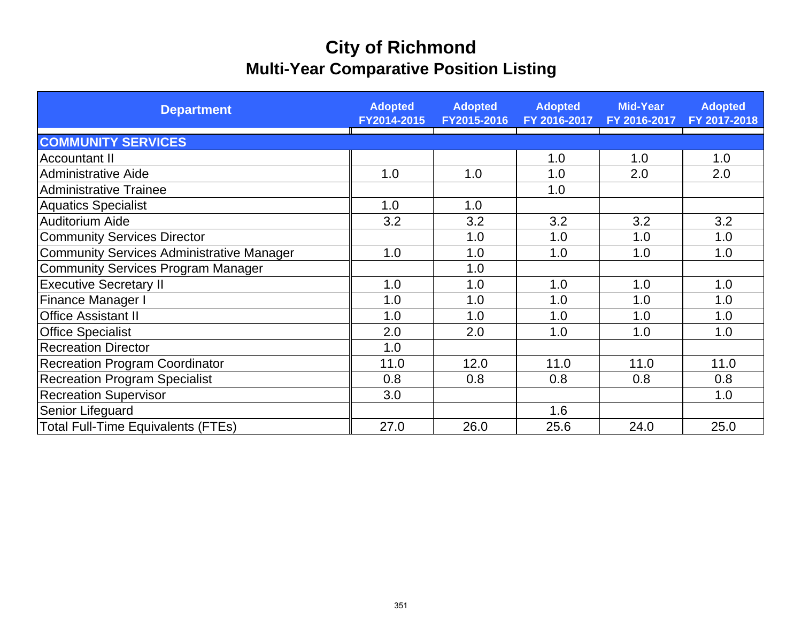# **City of Richmond Multi-Year Comparative Position Listing**

| <b>Department</b>                                | <b>Adopted</b><br>FY2014-2015 | <b>Adopted</b><br>FY2015-2016 | <b>Adopted</b><br>FY 2016-2017 | <b>Mid-Year</b><br>FY 2016-2017 | <b>Adopted</b><br>FY 2017-2018 |
|--------------------------------------------------|-------------------------------|-------------------------------|--------------------------------|---------------------------------|--------------------------------|
| <b>COMMUNITY SERVICES</b>                        |                               |                               |                                |                                 |                                |
| <b>Accountant II</b>                             |                               |                               | 1.0                            | 1.0                             | 1.0                            |
| <b>Administrative Aide</b>                       | 1.0                           | 1.0                           | 1.0                            | 2.0                             | 2.0                            |
| <b>Administrative Trainee</b>                    |                               |                               | 1.0                            |                                 |                                |
| <b>Aquatics Specialist</b>                       | 1.0                           | 1.0                           |                                |                                 |                                |
| Auditorium Aide                                  | 3.2                           | 3.2                           | 3.2                            | 3.2                             | 3.2                            |
| <b>Community Services Director</b>               |                               | 1.0                           | 1.0                            | 1.0                             | 1.0                            |
| <b>Community Services Administrative Manager</b> | 1.0                           | 1.0                           | 1.0                            | 1.0                             | 1.0                            |
| <b>Community Services Program Manager</b>        |                               | 1.0                           |                                |                                 |                                |
| <b>Executive Secretary II</b>                    | 1.0                           | 1.0                           | 1.0                            | 1.0                             | 1.0                            |
| <b>Finance Manager I</b>                         | 1.0                           | 1.0                           | 1.0                            | 1.0                             | 1.0                            |
| <b>Office Assistant II</b>                       | 1.0                           | 1.0                           | 1.0                            | 1.0                             | 1.0                            |
| <b>Office Specialist</b>                         | 2.0                           | 2.0                           | 1.0                            | 1.0                             | 1.0                            |
| <b>Recreation Director</b>                       | 1.0                           |                               |                                |                                 |                                |
| <b>Recreation Program Coordinator</b>            | 11.0                          | 12.0                          | 11.0                           | 11.0                            | 11.0                           |
| <b>Recreation Program Specialist</b>             | 0.8                           | 0.8                           | 0.8                            | 0.8                             | 0.8                            |
| <b>Recreation Supervisor</b>                     | 3.0                           |                               |                                |                                 | 1.0                            |
| Senior Lifeguard                                 |                               |                               | 1.6                            |                                 |                                |
| <b>Total Full-Time Equivalents (FTEs)</b>        | 27.0                          | 26.0                          | 25.6                           | 24.0                            | 25.0                           |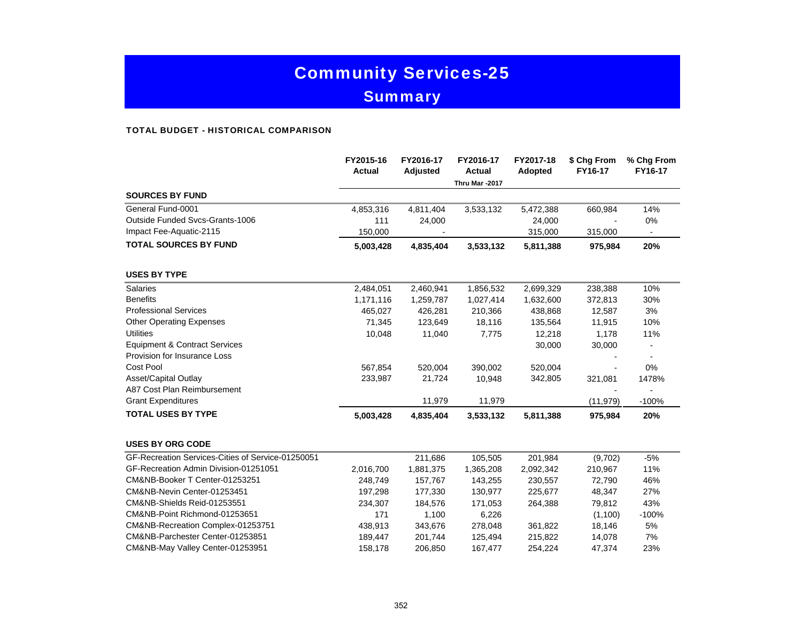# Community Services-25 **Summary**

#### TOTAL BUDGET - HISTORICAL COMPARISON

|                                                   | FY2015-16<br><b>Actual</b> | FY2016-17<br>Adjusted | FY2016-17<br><b>Actual</b><br>Thru Mar -2017 | FY2017-18<br>Adopted | \$ Chg From<br>FY16-17 | % Chg From<br>FY16-17 |
|---------------------------------------------------|----------------------------|-----------------------|----------------------------------------------|----------------------|------------------------|-----------------------|
| <b>SOURCES BY FUND</b>                            |                            |                       |                                              |                      |                        |                       |
| General Fund-0001                                 | 4,853,316                  | 4,811,404             | 3,533,132                                    | 5,472,388            | 660,984                | 14%                   |
| Outside Funded Svcs-Grants-1006                   | 111                        | 24,000                |                                              | 24,000               |                        | 0%                    |
| Impact Fee-Aquatic-2115                           | 150,000                    |                       |                                              | 315,000              | 315,000                | $\blacksquare$        |
| <b>TOTAL SOURCES BY FUND</b>                      | 5,003,428                  | 4,835,404             | 3,533,132                                    | 5,811,388            | 975,984                | 20%                   |
| <b>USES BY TYPE</b>                               |                            |                       |                                              |                      |                        |                       |
| <b>Salaries</b>                                   | 2,484,051                  | 2,460,941             | 1,856,532                                    | 2,699,329            | 238,388                | 10%                   |
| <b>Benefits</b>                                   | 1,171,116                  | 1,259,787             | 1,027,414                                    | 1,632,600            | 372,813                | 30%                   |
| <b>Professional Services</b>                      | 465,027                    | 426,281               | 210,366                                      | 438,868              | 12,587                 | 3%                    |
| <b>Other Operating Expenses</b>                   | 71,345                     | 123,649               | 18,116                                       | 135,564              | 11,915                 | 10%                   |
| <b>Utilities</b>                                  | 10,048                     | 11,040                | 7,775                                        | 12,218               | 1,178                  | 11%                   |
| <b>Equipment &amp; Contract Services</b>          |                            |                       |                                              | 30,000               | 30,000                 |                       |
| Provision for Insurance Loss                      |                            |                       |                                              |                      |                        |                       |
| Cost Pool                                         | 567,854                    | 520,004               | 390,002                                      | 520,004              |                        | 0%                    |
| Asset/Capital Outlay                              | 233,987                    | 21,724                | 10,948                                       | 342,805              | 321,081                | 1478%                 |
| A87 Cost Plan Reimbursement                       |                            |                       |                                              |                      |                        |                       |
| <b>Grant Expenditures</b>                         |                            | 11,979                | 11,979                                       |                      | (11, 979)              | $-100%$               |
| <b>TOTAL USES BY TYPE</b>                         | 5,003,428                  | 4,835,404             | 3,533,132                                    | 5,811,388            | 975,984                | 20%                   |
| <b>USES BY ORG CODE</b>                           |                            |                       |                                              |                      |                        |                       |
| GF-Recreation Services-Cities of Service-01250051 |                            | 211,686               | 105,505                                      | 201,984              | (9,702)                | $-5%$                 |
| GF-Recreation Admin Division-01251051             | 2,016,700                  | 1,881,375             | 1,365,208                                    | 2,092,342            | 210,967                | 11%                   |
| CM&NB-Booker T Center-01253251                    | 248,749                    | 157,767               | 143,255                                      | 230,557              | 72,790                 | 46%                   |
| CM&NB-Nevin Center-01253451                       | 197,298                    | 177,330               | 130,977                                      | 225,677              | 48,347                 | 27%                   |
| CM&NB-Shields Reid-01253551                       | 234,307                    | 184,576               | 171,053                                      | 264,388              | 79,812                 | 43%                   |
| CM&NB-Point Richmond-01253651                     | 171                        | 1,100                 | 6,226                                        |                      | (1,100)                | $-100%$               |
| CM&NB-Recreation Complex-01253751                 | 438,913                    | 343,676               | 278,048                                      | 361,822              | 18,146                 | 5%                    |
| CM&NB-Parchester Center-01253851                  | 189,447                    | 201,744               | 125,494                                      | 215,822              | 14,078                 | 7%                    |
| CM&NB-May Valley Center-01253951                  | 158,178                    | 206,850               | 167,477                                      | 254,224              | 47,374                 | 23%                   |